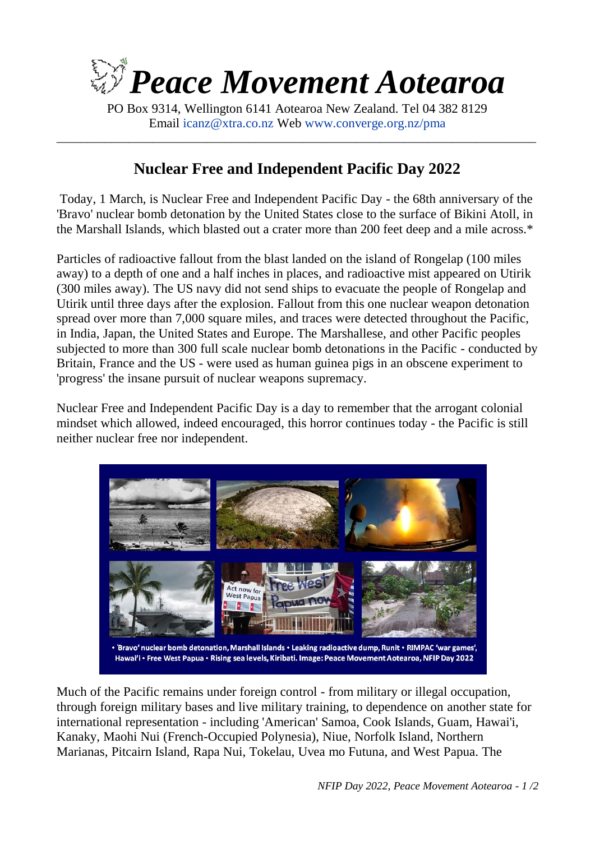

PO Box 9314, Wellington 6141 Aotearoa New Zealand. Tel 04 382 8129 Email [icanz@xtra.co.nz](mailto:icanz@xtra.co.nz?subject=NFIP%20Day%202021) Web [www.converge.org.nz/pma](http://www.converge.org.nz/pma)

\_\_\_\_\_\_\_\_\_\_\_\_\_\_\_\_\_\_\_\_\_\_\_\_\_\_\_\_\_\_\_\_\_\_\_\_\_\_\_\_\_\_\_\_\_\_\_\_\_\_\_\_\_\_\_\_\_\_\_\_\_\_\_\_\_\_\_\_\_\_\_\_\_\_\_\_\_\_\_\_

## **Nuclear Free and Independent Pacific Day 2022**

Today, 1 March, is Nuclear Free and Independent Pacific Day - the 68th anniversary of the 'Bravo' nuclear bomb detonation by the United States close to the surface of Bikini Atoll, in the Marshall Islands, which blasted out a crater more than 200 feet deep and a mile across.\*

Particles of radioactive fallout from the blast landed on the island of Rongelap (100 miles away) to a depth of one and a half inches in places, and radioactive mist appeared on Utirik (300 miles away). The US navy did not send ships to evacuate the people of Rongelap and Utirik until three days after the explosion. Fallout from this one nuclear weapon detonation spread over more than 7,000 square miles, and traces were detected throughout the Pacific, in India, Japan, the United States and Europe. The Marshallese, and other Pacific peoples subjected to more than 300 full scale nuclear bomb detonations in the Pacific - conducted by Britain, France and the US - were used as human guinea pigs in an obscene experiment to 'progress' the insane pursuit of nuclear weapons supremacy.

Nuclear Free and Independent Pacific Day is a day to remember that the arrogant colonial mindset which allowed, indeed encouraged, this horror continues today - the Pacific is still neither nuclear free nor independent.



Much of the Pacific remains under foreign control - from military or illegal occupation, through foreign military bases and live military training, to dependence on another state for international representation - including 'American' Samoa, Cook Islands, Guam, Hawai'i, Kanaky, Maohi Nui (French-Occupied Polynesia), Niue, Norfolk Island, Northern Marianas, Pitcairn Island, Rapa Nui, Tokelau, Uvea mo Futuna, and West Papua. The